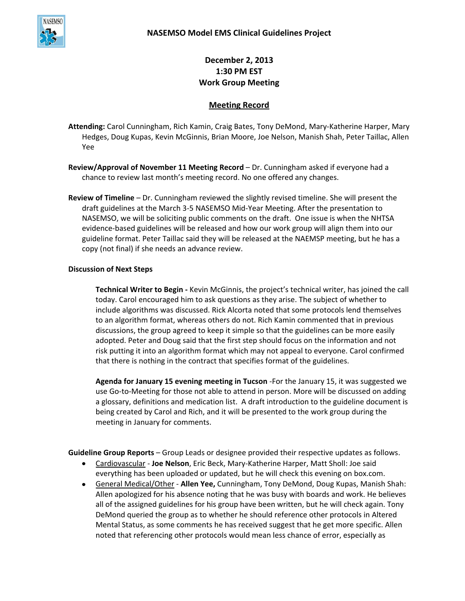

**December 2, 2013 1:30 PM EST Work Group Meeting**

## **Meeting Record**

**Attending:** Carol Cunningham, Rich Kamin, Craig Bates, Tony DeMond, Mary-Katherine Harper, Mary Hedges, Doug Kupas, Kevin McGinnis, Brian Moore, Joe Nelson, Manish Shah, Peter Taillac, Allen Yee

**Review/Approval of November 11 Meeting Record** – Dr. Cunningham asked if everyone had a chance to review last month's meeting record. No one offered any changes.

**Review of Timeline** – Dr. Cunningham reviewed the slightly revised timeline. She will present the draft guidelines at the March 3-5 NASEMSO Mid-Year Meeting. After the presentation to NASEMSO, we will be soliciting public comments on the draft. One issue is when the NHTSA evidence-based guidelines will be released and how our work group will align them into our guideline format. Peter Taillac said they will be released at the NAEMSP meeting, but he has a copy (not final) if she needs an advance review.

## **Discussion of Next Steps**

**Technical Writer to Begin -** Kevin McGinnis, the project's technical writer, has joined the call today. Carol encouraged him to ask questions as they arise. The subject of whether to include algorithms was discussed. Rick Alcorta noted that some protocols lend themselves to an algorithm format, whereas others do not. Rich Kamin commented that in previous discussions, the group agreed to keep it simple so that the guidelines can be more easily adopted. Peter and Doug said that the first step should focus on the information and not risk putting it into an algorithm format which may not appeal to everyone. Carol confirmed that there is nothing in the contract that specifies format of the guidelines.

**Agenda for January 15 evening meeting in Tucson** -For the January 15, it was suggested we use Go-to-Meeting for those not able to attend in person. More will be discussed on adding a glossary, definitions and medication list. A draft introduction to the guideline document is being created by Carol and Rich, and it will be presented to the work group during the meeting in January for comments.

**Guideline Group Reports** – Group Leads or designee provided their respective updates as follows.

- Cardiovascular **Joe Nelson**, Eric Beck, Mary-Katherine Harper, Matt Sholl: Joe said everything has been uploaded or updated, but he will check this evening on box.com.
- General Medical/Other **Allen Yee,** Cunningham, Tony DeMond, Doug Kupas, Manish Shah: Allen apologized for his absence noting that he was busy with boards and work. He believes all of the assigned guidelines for his group have been written, but he will check again. Tony DeMond queried the group as to whether he should reference other protocols in Altered Mental Status, as some comments he has received suggest that he get more specific. Allen noted that referencing other protocols would mean less chance of error, especially as